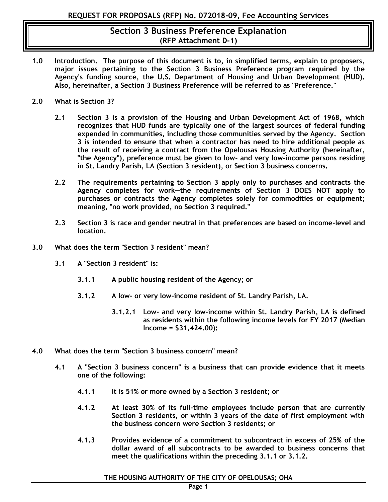- **1.0 Introduction. The purpose of this document is to, in simplified terms, explain to proposers, major issues pertaining to the Section 3 Business Preference program required by the Agency's funding source, the U.S. Department of Housing and Urban Development (HUD). Also, hereinafter, a Section 3 Business Preference will be referred to as "Preference."**
- **2.0 What is Section 3?** 
	- **2.1 Section 3 is a provision of the Housing and Urban Development Act of 1968, which recognizes that HUD funds are typically one of the largest sources of federal funding expended in communities, including those communities served by the Agency. Section 3 is intended to ensure that when a contractor has need to hire additional people as the result of receiving a contract from the Opelousas Housing Authority (hereinafter, "the Agency"), preference must be given to low- and very low-income persons residing in St. Landry Parish, LA (Section 3 resident), or Section 3 business concerns.**
	- **2.2 The requirements pertaining to Section 3 apply only to purchases and contracts the Agency completes for work—the requirements of Section 3 DOES NOT apply to purchases or contracts the Agency completes solely for commodities or equipment; meaning, "no work provided, no Section 3 required."**
	- **2.3 Section 3 is race and gender neutral in that preferences are based on income-level and location.**
- **3.0 What does the term "Section 3 resident" mean?** 
	- **3.1 A "Section 3 resident" is:** 
		- **3.1.1 A public housing resident of the Agency; or**
		- **3.1.2 A low- or very low-income resident of St. Landry Parish, LA.**
			- **3.1.2.1 Low- and very low-income within St. Landry Parish, LA is defined as residents within the following income levels for FY 2017 (Median Income = \$31,424.00):**
- **4.0 What does the term "Section 3 business concern" mean?** 
	- **4.1 A "Section 3 business concern" is a business that can provide evidence that it meets one of the following:**
		- **4.1.1 It is 51% or more owned by a Section 3 resident; or**
		- **4.1.2 At least 30% of its full-time employees include person that are currently Section 3 residents, or within 3 years of the date of first employment with the business concern were Section 3 residents; or**
		- **4.1.3 Provides evidence of a commitment to subcontract in excess of 25% of the dollar award of all subcontracts to be awarded to business concerns that meet the qualifications within the preceding 3.1.1 or 3.1.2.**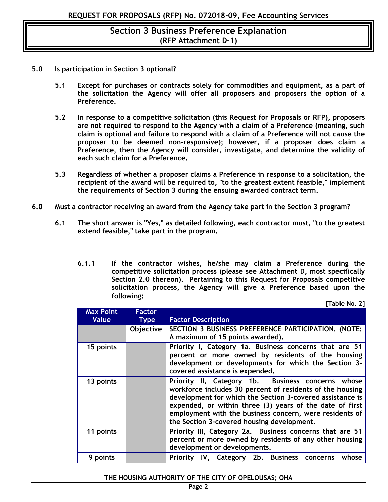- **5.0 Is participation in Section 3 optional?** 
	- **5.1 Except for purchases or contracts solely for commodities and equipment, as a part of the solicitation the Agency will offer all proposers and proposers the option of a Preference.**
	- **5.2 In response to a competitive solicitation (this Request for Proposals or RFP), proposers are not required to respond to the Agency with a claim of a Preference (meaning, such claim is optional and failure to respond with a claim of a Preference will not cause the proposer to be deemed non-responsive); however, if a proposer does claim a Preference, then the Agency will consider, investigate, and determine the validity of each such claim for a Preference.**
	- **5.3 Regardless of whether a proposer claims a Preference in response to a solicitation, the recipient of the award will be required to, "to the greatest extent feasible," implement the requirements of Section 3 during the ensuing awarded contract term.**
- **6.0 Must a contractor receiving an award from the Agency take part in the Section 3 program?**
	- **6.1 The short answer is "Yes," as detailed following, each contractor must, "to the greatest extend feasible," take part in the program.** 
		- **6.1.1 If the contractor wishes, he/she may claim a Preference during the competitive solicitation process (please see Attachment D, most specifically Section 2.0 thereon). Pertaining to this Request for Proposals competitive solicitation process, the Agency will give a Preference based upon the following: [Table No. 2]**

| <b>Max Point</b><br>Value | <b>Factor</b><br><b>Type</b> | <b>Factor Description</b>                                                                                                                                                                                                                                                                                                                        |
|---------------------------|------------------------------|--------------------------------------------------------------------------------------------------------------------------------------------------------------------------------------------------------------------------------------------------------------------------------------------------------------------------------------------------|
|                           | Objective                    | SECTION 3 BUSINESS PREFERENCE PARTICIPATION. (NOTE:<br>A maximum of 15 points awarded).                                                                                                                                                                                                                                                          |
| 15 points                 |                              | Priority I, Category 1a. Business concerns that are 51<br>percent or more owned by residents of the housing<br>development or developments for which the Section 3-<br>covered assistance is expended.                                                                                                                                           |
| 13 points                 |                              | Priority II, Category 1b. Business concerns whose<br>workforce includes 30 percent of residents of the housing<br>development for which the Section 3-covered assistance is<br>expended, or within three (3) years of the date of first<br>employment with the business concern, were residents of<br>the Section 3-covered housing development. |
| 11 points                 |                              | Priority III, Category 2a. Business concerns that are 51<br>percent or more owned by residents of any other housing<br>development or developments.                                                                                                                                                                                              |
| 9 points                  |                              | Priority IV, Category 2b. Business concerns<br>whose                                                                                                                                                                                                                                                                                             |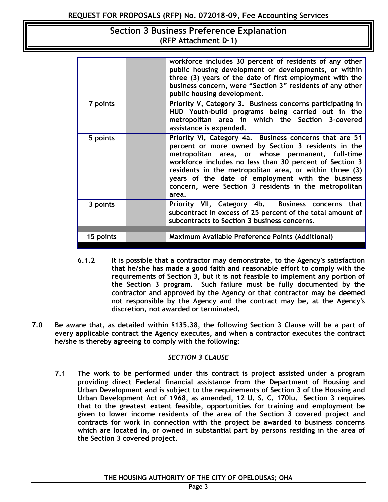|           | workforce includes 30 percent of residents of any other<br>public housing development or developments, or within<br>three (3) years of the date of first employment with the<br>business concern, were "Section 3" residents of any other<br>public housing development.                                                                                                                                        |
|-----------|-----------------------------------------------------------------------------------------------------------------------------------------------------------------------------------------------------------------------------------------------------------------------------------------------------------------------------------------------------------------------------------------------------------------|
| 7 points  | Priority V, Category 3. Business concerns participating in<br>HUD Youth-build programs being carried out in the<br>metropolitan area in which the Section 3-covered<br>assistance is expended.                                                                                                                                                                                                                  |
| 5 points  | Priority VI, Category 4a. Business concerns that are 51<br>percent or more owned by Section 3 residents in the<br>metropolitan area, or whose permanent, full-time<br>workforce includes no less than 30 percent of Section 3<br>residents in the metropolitan area, or within three (3)<br>years of the date of employment with the business<br>concern, were Section 3 residents in the metropolitan<br>area. |
| 3 points  | Priority VII, Category 4b. Business concerns that<br>subcontract in excess of 25 percent of the total amount of<br>subcontracts to Section 3 business concerns.                                                                                                                                                                                                                                                 |
|           |                                                                                                                                                                                                                                                                                                                                                                                                                 |
| 15 points | Maximum Available Preference Points (Additional)                                                                                                                                                                                                                                                                                                                                                                |

- **6.1.2 It is possible that a contractor may demonstrate, to the Agency's satisfaction that he/she has made a good faith and reasonable effort to comply with the requirements of Section 3, but it is not feasible to implement any portion of the Section 3 program. Such failure must be fully documented by the contractor and approved by the Agency or that contractor may be deemed not responsible by the Agency and the contract may be, at the Agency's discretion, not awarded or terminated.**
- **7.0 Be aware that, as detailed within** §**135.38, the following Section 3 Clause will be a part of every applicable contract the Agency executes, and when a contractor executes the contract he/she is thereby agreeing to comply with the following:**

### *SECTION 3 CLAUSE*

**7.1 The work to be performed under this contract is project assisted under a program providing direct Federal financial assistance from the Department of Housing and Urban Development and is subject to the requirements of Section 3 of the Housing and Urban Development Act of 1968, as amended, 12 U. S. C. 170lu. Section 3 requires that to the greatest extent feasible, opportunities for training and employment be given to lower income residents of the area of the Section 3 covered project and contracts for work in connection with the project be awarded to business concerns which are located in, or owned in substantial part by persons residing in the area of the Section 3 covered project.**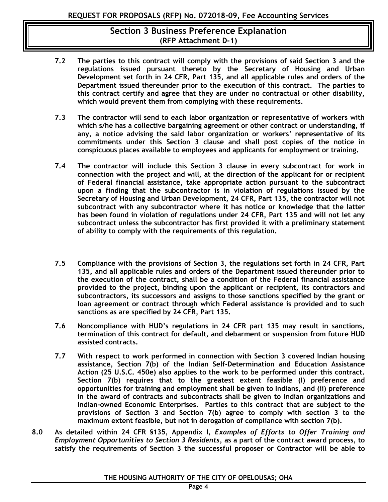- **7.2 The parties to this contract will comply with the provisions of said Section 3 and the regulations issued pursuant thereto by the Secretary of Housing and Urban Development set forth in 24 CFR, Part 135, and all applicable rules and orders of the Department issued thereunder prior to the execution of this contract. The parties to this contract certify and agree that they are under no contractual or other disability, which would prevent them from complying with these requirements.**
- **7.3 The contractor will send to each labor organization or representative of workers with which s/he has a collective bargaining agreement or other contract or understanding, if any, a notice advising the said labor organization or workers' representative of its commitments under this Section 3 clause and shall post copies of the notice in conspicuous places available to employees and applicants for employment or training.**
- **7.4 The contractor will include this Section 3 clause in every subcontract for work in connection with the project and will, at the direction of the applicant for or recipient of Federal financial assistance, take appropriate action pursuant to the subcontract upon a finding that the subcontractor is in violation of regulations issued by the Secretary of Housing and Urban Development, 24 CFR, Part 135, the contractor will not subcontract with any subcontractor where it has notice or knowledge that the latter has been found in violation of regulations under 24 CFR, Part 135 and will not let any subcontract unless the subcontractor has first provided it with a preliminary statement of ability to comply with the requirements of this regulation.**
- **7.5 Compliance with the provisions of Section 3, the regulations set forth in 24 CFR, Part 135, and all applicable rules and orders of the Department issued thereunder prior to the execution of the contract, shall be a condition of the Federal financial assistance provided to the project, binding upon the applicant or recipient, its contractors and subcontractors, its successors and assigns to those sanctions specified by the grant or loan agreement or contract through which Federal assistance is provided and to such sanctions as are specified by 24 CFR, Part 135.**
- **7.6 Noncompliance with HUD's regulations in 24 CFR part 135 may result in sanctions, termination of this contract for default, and debarment or suspension from future HUD assisted contracts.**
- **7.7 With respect to work performed in connection with Section 3 covered Indian housing assistance, Section 7(b) of the Indian Self-Determination and Education Assistance Action (25 U.S.C. 450e) also applies to the work to be performed under this contract. Section 7(b) requires that to the greatest extent feasible (I) preference and opportunities for training and employment shall be given to Indians, and (ii) preference in the award of contracts and subcontracts shall be given to Indian organizations and Indian-owned Economic Enterprises. Parties to this contract that are subject to the provisions of Section 3 and Section 7(b) agree to comply with section 3 to the maximum extent feasible, but not in derogation of compliance with section 7(b).**
- **8.0 As detailed within 24 CFR §135, Appendix I,** *Examples of Efforts to Offer Training and Employment Opportunities to Section 3 Residents***, as a part of the contract award process, to satisfy the requirements of Section 3 the successful proposer or Contractor will be able to**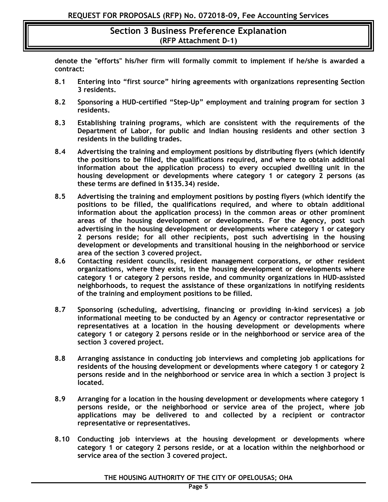**denote the "efforts" his/her firm will formally commit to implement if he/she is awarded a contract:**

- **8.1 Entering into "first source" hiring agreements with organizations representing Section 3 residents.**
- **8.2 Sponsoring a HUD-certified "Step-Up" employment and training program for section 3 residents.**
- **8.3 Establishing training programs, which are consistent with the requirements of the Department of Labor, for public and Indian housing residents and other section 3 residents in the building trades.**
- **8.4 Advertising the training and employment positions by distributing flyers (which identify the positions to be filled, the qualifications required, and where to obtain additional information about the application process) to every occupied dwelling unit in the housing development or developments where category 1 or category 2 persons (as these terms are defined in §135.34) reside.**
- **8.5 Advertising the training and employment positions by posting flyers (which identify the positions to be filled, the qualifications required, and where to obtain additional information about the application process) in the common areas or other prominent areas of the housing development or developments. For the Agency, post such advertising in the housing development or developments where category 1 or category 2 persons reside; for all other recipients, post such advertising in the housing development or developments and transitional housing in the neighborhood or service area of the section 3 covered project.**
- **8.6 Contacting resident councils, resident management corporations, or other resident organizations, where they exist, in the housing development or developments where category 1 or category 2 persons reside, and community organizations in HUD-assisted neighborhoods, to request the assistance of these organizations in notifying residents of the training and employment positions to be filled.**
- **8.7 Sponsoring (scheduling, advertising, financing or providing in-kind services) a job informational meeting to be conducted by an Agency or contractor representative or representatives at a location in the housing development or developments where category 1 or category 2 persons reside or in the neighborhood or service area of the section 3 covered project.**
- **8.8 Arranging assistance in conducting job interviews and completing job applications for residents of the housing development or developments where category 1 or category 2 persons reside and in the neighborhood or service area in which a section 3 project is located.**
- **8.9 Arranging for a location in the housing development or developments where category 1 persons reside, or the neighborhood or service area of the project, where job applications may be delivered to and collected by a recipient or contractor representative or representatives.**
- **8.10 Conducting job interviews at the housing development or developments where category 1 or category 2 persons reside, or at a location within the neighborhood or service area of the section 3 covered project.**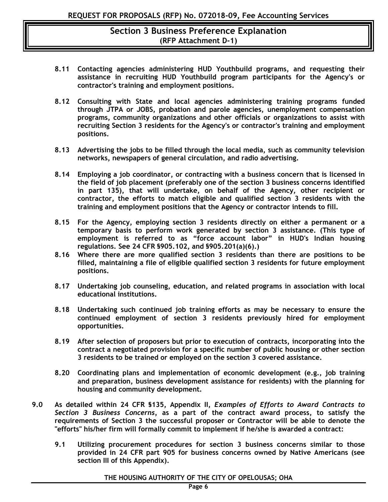- **8.11 Contacting agencies administering HUD Youthbuild programs, and requesting their assistance in recruiting HUD Youthbuild program participants for the Agency's or contractor's training and employment positions.**
- **8.12 Consulting with State and local agencies administering training programs funded through JTPA or JOBS, probation and parole agencies, unemployment compensation programs, community organizations and other officials or organizations to assist with recruiting Section 3 residents for the Agency's or contractor's training and employment positions.**
- **8.13 Advertising the jobs to be filled through the local media, such as community television networks, newspapers of general circulation, and radio advertising.**
- **8.14 Employing a job coordinator, or contracting with a business concern that is licensed in the field of job placement (preferably one of the section 3 business concerns identified in part 135), that will undertake, on behalf of the Agency, other recipient or contractor, the efforts to match eligible and qualified section 3 residents with the training and employment positions that the Agency or contractor intends to fill.**
- **8.15 For the Agency, employing section 3 residents directly on either a permanent or a temporary basis to perform work generated by section 3 assistance. (This type of employment is referred to as "force account labor" in HUD's Indian housing regulations. See 24 CFR §905.102, and §905.201(a)(6).)**
- **8.16 Where there are more qualified section 3 residents than there are positions to be filled, maintaining a file of eligible qualified section 3 residents for future employment positions.**
- **8.17 Undertaking job counseling, education, and related programs in association with local educational institutions.**
- **8.18 Undertaking such continued job training efforts as may be necessary to ensure the continued employment of section 3 residents previously hired for employment opportunities.**
- **8.19 After selection of proposers but prior to execution of contracts, incorporating into the contract a negotiated provision for a specific number of public housing or other section 3 residents to be trained or employed on the section 3 covered assistance.**
- **8.20 Coordinating plans and implementation of economic development (e.g., job training and preparation, business development assistance for residents) with the planning for housing and community development.**
- **9.0 As detailed within 24 CFR §135, Appendix II,** *Examples of Efforts to Award Contracts to Section 3 Business Concerns,* **as a part of the contract award process, to satisfy the requirements of Section 3 the successful proposer or Contractor will be able to denote the "efforts" his/her firm will formally commit to implement if he/she is awarded a contract:**
	- **9.1 Utilizing procurement procedures for section 3 business concerns similar to those provided in 24 CFR part 905 for business concerns owned by Native Americans (see section III of this Appendix).**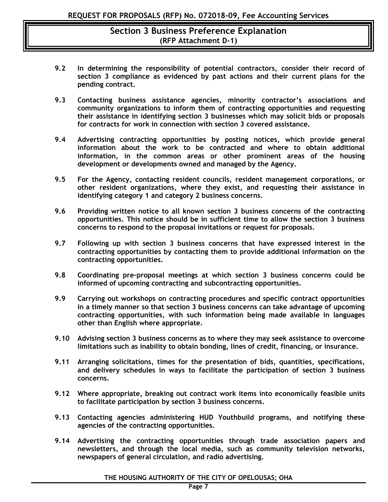- **9.2 In determining the responsibility of potential contractors, consider their record of section 3 compliance as evidenced by past actions and their current plans for the pending contract.**
- **9.3 Contacting business assistance agencies, minority contractor's associations and community organizations to inform them of contracting opportunities and requesting their assistance in identifying section 3 businesses which may solicit bids or proposals for contracts for work in connection with section 3 covered assistance.**
- **9.4 Advertising contracting opportunities by posting notices, which provide general information about the work to be contracted and where to obtain additional information, in the common areas or other prominent areas of the housing development or developments owned and managed by the Agency.**
- **9.5 For the Agency, contacting resident councils, resident management corporations, or other resident organizations, where they exist, and requesting their assistance in identifying category 1 and category 2 business concerns.**
- **9.6 Providing written notice to all known section 3 business concerns of the contracting opportunities. This notice should be in sufficient time to allow the section 3 business concerns to respond to the proposal invitations or request for proposals.**
- **9.7 Following up with section 3 business concerns that have expressed interest in the contracting opportunities by contacting them to provide additional information on the contracting opportunities.**
- **9.8 Coordinating pre-proposal meetings at which section 3 business concerns could be informed of upcoming contracting and subcontracting opportunities.**
- **9.9 Carrying out workshops on contracting procedures and specific contract opportunities in a timely manner so that section 3 business concerns can take advantage of upcoming contracting opportunities, with such information being made available in languages other than English where appropriate.**
- **9.10 Advising section 3 business concerns as to where they may seek assistance to overcome limitations such as inability to obtain bonding, lines of credit, financing, or insurance.**
- **9.11 Arranging solicitations, times for the presentation of bids, quantities, specifications, and delivery schedules in ways to facilitate the participation of section 3 business concerns.**
- **9.12 Where appropriate, breaking out contract work items into economically feasible units to facilitate participation by section 3 business concerns.**
- **9.13 Contacting agencies administering HUD Youthbuild programs, and notifying these agencies of the contracting opportunities.**
- **9.14 Advertising the contracting opportunities through trade association papers and newsletters, and through the local media, such as community television networks, newspapers of general circulation, and radio advertising.**